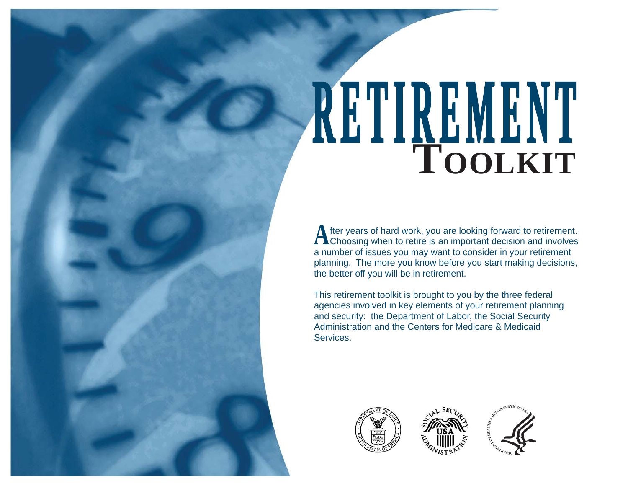# **RETIREMENT <sup>E</sup> <sup>T</sup> <sup>I</sup> <sup>R</sup> EM <sup>E</sup> <sup>N</sup> TTOOLKIT**

A fter years of hard work, you are looking forward to retirement.<br>Choosing when to retire is an important decision and involves a number of issues you may want to consider in your retirement planning. The more you know before you start making decisions, the better off you will be in retirement.

This retirement toolkit is brought to you by the three federal agencies involved in key elements of your retirement planning and security: the Department of Labor, the Social Security Administration and the Centers for Medicare & Medicaid Services.





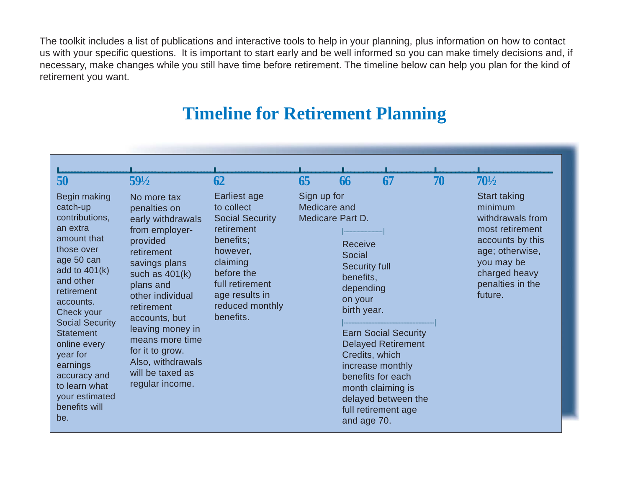The toolkit includes a list of publications and interactive tools to help in your planning, plus information on how to contact us with your specific questions. It is important to start early and be well informed so you can make timely decisions and, if necessary, make changes while you still have time before retirement. The timeline below can help you plan for the kind of retirement you want.

# **Timeline for Retirement Planning**

| 50<br>Begin making<br>catch-up<br>contributions,<br>an extra<br>amount that<br>those over<br>age 50 can<br>add to $401(k)$<br>and other<br>retirement<br>accounts.<br>Check your<br><b>Social Security</b><br><b>Statement</b><br>online every<br>year for<br>earnings<br>accuracy and<br>to learn what<br>your estimated<br>benefits will<br>be. | $59\frac{1}{2}$<br>No more tax<br>penalties on<br>early withdrawals<br>from employer-<br>provided<br>retirement<br>savings plans<br>such as $401(k)$<br>plans and<br>other individual<br>retirement<br>accounts, but<br>leaving money in<br>means more time<br>for it to grow.<br>Also, withdrawals<br>will be taxed as<br>regular income. | 62<br>Earliest age<br>to collect<br><b>Social Security</b><br>retirement<br>benefits;<br>however,<br>claiming<br>before the<br>full retirement<br>age results in<br>reduced monthly<br>benefits. | 65<br>Sign up for<br>Medicare and | 66<br>Medicare Part D.<br>Receive<br><b>Social</b><br><b>Security full</b><br>benefits,<br>depending<br>on your<br>birth year.<br>Credits, which<br>and age 70. | 67<br><b>Earn Social Security</b><br><b>Delayed Retirement</b><br>increase monthly<br>benefits for each<br>month claiming is<br>delayed between the<br>full retirement age | 70 | $70\frac{1}{2}$<br>Start taking<br>minimum<br>withdrawals from<br>most retirement<br>accounts by this<br>age; otherwise,<br>you may be<br>charged heavy<br>penalties in the<br>future. |
|---------------------------------------------------------------------------------------------------------------------------------------------------------------------------------------------------------------------------------------------------------------------------------------------------------------------------------------------------|--------------------------------------------------------------------------------------------------------------------------------------------------------------------------------------------------------------------------------------------------------------------------------------------------------------------------------------------|--------------------------------------------------------------------------------------------------------------------------------------------------------------------------------------------------|-----------------------------------|-----------------------------------------------------------------------------------------------------------------------------------------------------------------|----------------------------------------------------------------------------------------------------------------------------------------------------------------------------|----|----------------------------------------------------------------------------------------------------------------------------------------------------------------------------------------|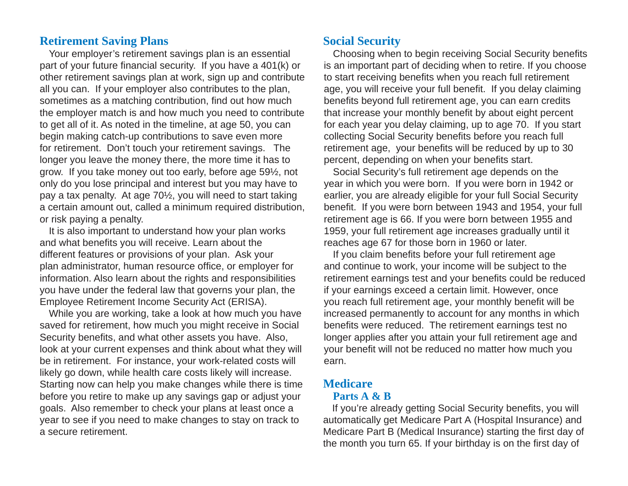#### **Retirement Saving Plans**

Your employer's retirement savings plan is an essential part of your future fi nancial security. If you have a 401(k) or other retirement savings plan at work, sign up and contribute all you can. If your employer also contributes to the plan, sometimes as a matching contribution, find out how much the employer match is and how much you need to contribute to get all of it. As noted in the timeline, at age 50, you can begin making catch-up contributions to save even more for retirement. Don't touch your retirement savings. The longer you leave the money there, the more time it has to grow. If you take money out too early, before age 59½, not only do you lose principal and interest but you may have to pay a tax penalty. At age 70½, you will need to start taking a certain amount out, called a minimum required distribution, or risk paying a penalty.

It is also important to understand how your plan works and what benefits you will receive. Learn about the different features or provisions of your plan. Ask your plan administrator, human resource office, or employer for information. Also learn about the rights and responsibilities you have under the federal law that governs your plan, the Employee Retirement Income Security Act (ERISA).

While you are working, take a look at how much you have saved for retirement, how much you might receive in Social Security benefits, and what other assets you have. Also, look at your current expenses and think about what they will be in retirement. For instance, your work-related costs will likely go down, while health care costs likely will increase. Starting now can help you make changes while there is time before you retire to make up any savings gap or adjust your goals. Also remember to check your plans at least once a year to see if you need to make changes to stay on track to a secure retirement.

#### **Social Security**

Choosing when to begin receiving Social Security benefits is an important part of deciding when to retire. If you choose to start receiving benefits when you reach full retirement age, you will receive your full benefit. If you delay claiming benefits beyond full retirement age, you can earn credits that increase your monthly benefit by about eight percent for each year you delay claiming, up to age 70. If you start collecting Social Security benefits before you reach full retirement age, your benefits will be reduced by up to 30  $\,$ percent, depending on when your benefits start.

Social Security's full retirement age depends on the year in which you were born. If you were born in 1942 or earlier, you are already eligible for your full Social Security benefit. If you were born between 1943 and 1954, your full retirement age is 66. If you were born between 1955 and 1959, your full retirement age increases gradually until it reaches age 67 for those born in 1960 or later.

If you claim benefits before your full retirement age and continue to work, your income will be subject to the retirement earnings test and your benefits could be reduced if your earnings exceed a certain limit. However, once you reach full retirement age, your monthly benefit will be increased permanently to account for any months in which benefits were reduced. The retirement earnings test no longer applies after you attain your full retirement age and your benefit will not be reduced no matter how much you earn.

# **Medicare**

#### **Parts A & B**

If you're already getting Social Security benefits, you will automatically get Medicare Part A (Hospital Insurance) and Medicare Part B (Medical Insurance) starting the first day of the month you turn 65. If your birthday is on the first day of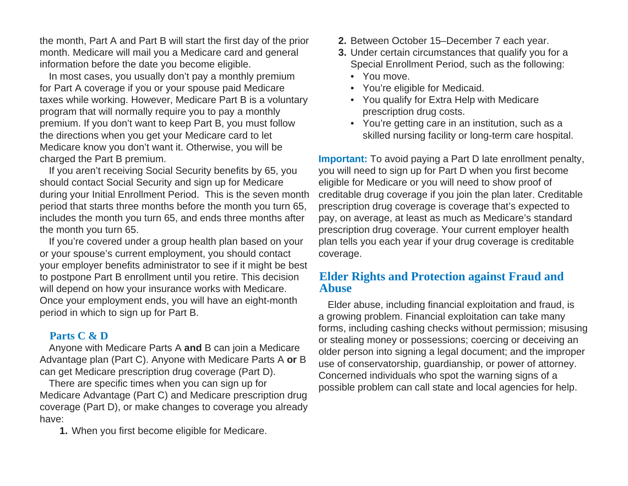the month, Part A and Part B will start the first day of the prior month. Medicare will mail you a Medicare card and general information before the date you become eligible.

In most cases, you usually don't pay a monthly premium for Part A coverage if you or your spouse paid Medicare taxes while working. However, Medicare Part B is a voluntary program that will normally require you to pay a monthly premium. If you don't want to keep Part B, you must follow the directions when you get your Medicare card to let Medicare know you don't want it. Otherwise, you will be charged the Part B premium.

If you aren't receiving Social Security benefits by 65, you should contact Social Security and sign up for Medicare during your Initial Enrollment Period. This is the seven month period that starts three months before the month you turn 65, includes the month you turn 65, and ends three months after the month you turn 65.

If you're covered under a group health plan based on your or your spouse's current employment, you should contact your employer benefits administrator to see if it might be best to postpone Part B enrollment until you retire. This decision will depend on how your insurance works with Medicare. Once your employment ends, you will have an eight-month period in which to sign up for Part B.

# **Parts C & D**

Anyone with Medicare Parts A **and** B can join a Medicare Advantage plan (Part C). Anyone with Medicare Parts A **or** B can get Medicare prescription drug coverage (Part D).

There are speci fi c times when you can sign up for Medicare Advantage (Part C) and Medicare prescription drug coverage (Part D), or make changes to coverage you already have:

**1.** When you first become eligible for Medicare.

- **2.** Between October 15–December 7 each year.
- **3.** Under certain circumstances that qualify you for a Special Enrollment Period, such as the following:
	- You move.
	- You're eligible for Medicaid.
	- You qualify for Extra Help with Medicare prescription drug costs.
	- You're getting care in an institution, such as a skilled nursing facility or long-term care hospital.

**Important:** To avoid paying a Part D late enrollment penalty, you will need to sign up for Part D when you first become eligible for Medicare or you will need to show proof of creditable drug coverage if you join the plan later. Creditable prescription drug coverage is coverage that's expected to pay, on average, at least as much as Medicare's standard prescription drug coverage. Your current employer health plan tells you each year if your drug coverage is creditable coverage.

## **Elder Rights and Protection against Fraud and Abuse**

Elder abuse, including financial exploitation and fraud, is a growing problem. Financial exploitation can take many forms, including cashing checks without permission; misusing or stealing money or possessions; coercing or deceiving an older person into signing a legal document; and the improper use of conservatorship, guardianship, or power of attorney. Concerned individuals who spot the warning signs of a possible problem can call state and local agencies for help.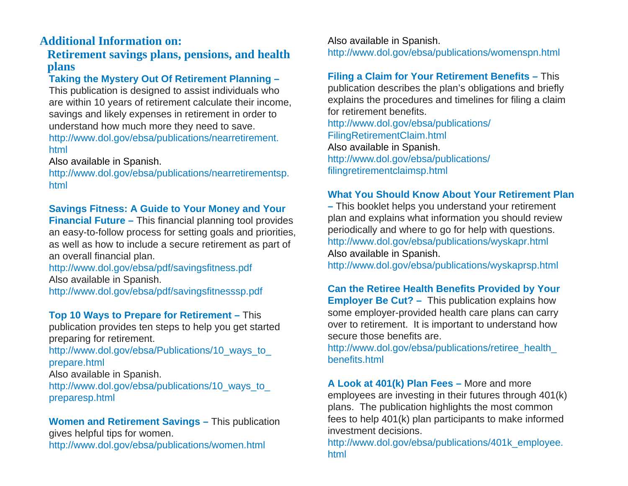# **Additional Information on:**

# **Retirement savings plans, pensions, and health plans**

# **Taking the Mystery Out Of Retirement Planning –**

This publication is designed to assist individuals who are within 10 years of retirement calculate their income, savings and likely expenses in retirement in order to understand how much more they need to save. [http://www.dol.gov/ebsa/publications/nearretirement.](http://www.dol.gov/ebsa/publications/nearretirement.html) html

## Also available in Spanish.

[http://www.dol.gov/ebsa/publications/nearretirementsp.](http://www.dol.gov/ebsa/publications/nearretirementsp.html) html

## **Savings Fitness: A Guide to Your Money and Your**

**Financial Future –** This financial planning tool provides an easy-to-follow process for setting goals and priorities, as well as how to include a secure retirement as part of an overall financial plan.

[http://www.dol.gov/ebsa/pdf/savings](http://www.dol.gov/ebsa/pdf/savingsfitness.pdf)fitness.pdf Also available in Spanish.

[http://www.dol.gov/ebsa/pdf/savings](http://www.dol.gov/ebsa/pdf/savingsfitnesssp.pdf) fi tnesssp.pdf

# **Top 10 Ways to Prepare for Retirement –** This

publication provides ten steps to help you get started preparing for retirement.

http://www.dol.gov/ebsa/Publications/10 ways to prepare.html

Also available in Spanish.

[http://www.dol.gov/ebsa/publications/10\\_ways\\_to\\_](http://www.dol.gov/ebsa/publications/10_ways_to_preparesp.html) preparesp.html

#### **Women and Retirement Savings –** This publication gives helpful tips for women. <http://www.dol.gov/ebsa/publications/women.html>

Also available in Spanish. <http://www.dol.gov/ebsa/publications/womenspn.html>

#### **Filing a Claim for Your Retirement Bene fi ts –** This publication describes the plan's obligations and briefly explains the procedures and timelines for filing a claim for retirement benefits. [http://www.dol.gov/ebsa/publications/](http://www.dol.gov/ebsa/publications/FilingRetirementClaim.html)

FilingRetirementClaim.html Also available in Spanish. [http://www.dol.gov/ebsa/publications/](http://www.dol.gov/ebsa/publications/filingretirementclaimsp.html) filingretirementclaimsp.html

# **What You Should Know About Your Retirement Plan**

**–** This booklet helps you understand your retirement plan and explains what information you should review periodically and where to go for help with questions. http://www.dol.gov/ebsa/publications/wyskapr.html Also available in Spanish.

http://www.dol.gov/ebsa/publications/wyskaprsp.html

**Can the Retiree Health Benefi ts Provided by Your Employer Be Cut? – This publication explains how** some employer-provided health care plans can carry over to retirement. It is important to understand how secure those benefits are.

[http://www.dol.gov/ebsa/publications/retiree\\_health\\_](http://www.dol.gov/ebsa/publications/retiree_health_benefits.html) benefits.html

**A Look at 401(k) Plan Fees –** More and more employees are investing in their futures through 401(k) plans. The publication highlights the most common fees to help 401(k) plan participants to make informed investment decisions.

[http://www.dol.gov/ebsa/publications/401k\\_employee.](http://www.dol.gov/ebsa/publications/401k_employee.html) html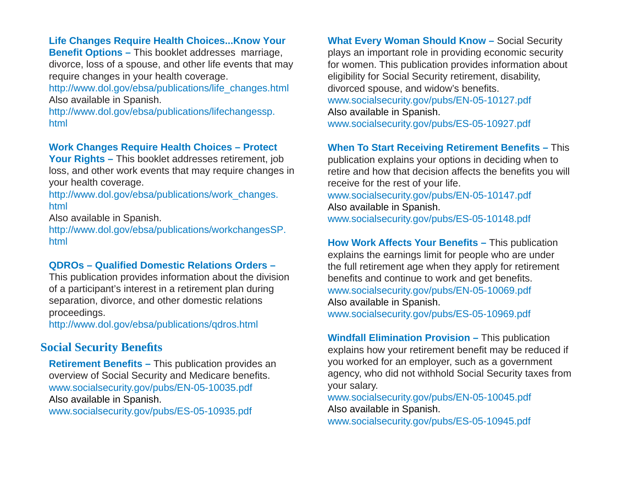#### **Life Changes Require Health Choices...Know Your**

**Bene fi t Options –** This booklet addresses marriage, divorce, loss of a spouse, and other life events that may require changes in your health coverage.

http://www.dol.gov/ebsa/publications/life\_changes.html Also available in Spanish.

[http://www.dol.gov/ebsa/publications/lifechangessp.](http://www.dol.gov/ebsa/publications/lifechangessp.html) html

#### **Work Changes Require Health Choices – Protect**

**Your Rights –** This booklet addresses retirement, job loss, and other work events that may require changes in your health coverage.

[http://www.dol.gov/ebsa/publications/work\\_changes.](http://www.dol.gov/ebsa/publications/work_changes.html) html

Also available in Spanish.

[http://www.dol.gov/ebsa/publications/workchangesSP.](http://www.dol.gov/ebsa/publications/workchangesSP.html) html

#### **QDROs – Quali fi ed Domestic Relations Orders –**

This publication provides information about the division of a participant's interest in a retirement plan during separation, divorce, and other domestic relations proceedings.

http://www.dol.gov/ebsa/publications/qdros.html

# **Social Security Bene fi ts**

**Retirement Benefits – This publication provides an** overview of Social Security and Medicare benefits. www.socialsecurity.gov/pubs/EN-05-10035.pdf Also available in Spanish.

www.socialsecurity.gov/pubs/ES-05-10935.pdf

**What Every Woman Should Know –** Social Security plays an important role in providing economic security for women. This publication provides information about eligibility for Social Security retirement, disability, divorced spouse, and widow's benefits. www.socialsecurity.gov/pubs/EN-05-10127.pdf Also available in Spanish. www.socialsecurity.gov/pubs/ES-05-10927.pdf

#### **When To Start Receiving Retirement Bene fi ts –** This

publication explains your options in deciding when to retire and how that decision affects the benefits you will receive for the rest of your life. www.socialsecurity.gov/pubs/EN-05-10147.pdf Also available in Spanish. www.socialsecurity.gov/pubs/ES-05-10148.pdf

**How Work Affects Your Benefits –** This publication explains the earnings limit for people who are under the full retirement age when they apply for retirement benefits and continue to work and get benefits. www.socialsecurity.gov/pubs/EN-05-10069.pdf Also available in Spanish. www.socialsecurity.gov/pubs/ES-05-10969.pdf

**Windfall Elimination Provision –** This publication explains how your retirement benefit may be reduced if you worked for an employer, such as a government agency, who did not withhold Social Security taxes from your salary.

www.socialsecurity.gov/pubs/EN-05-10045.pdf Also available in Spanish. www.socialsecurity.gov/pubs/ES-05-10945.pdf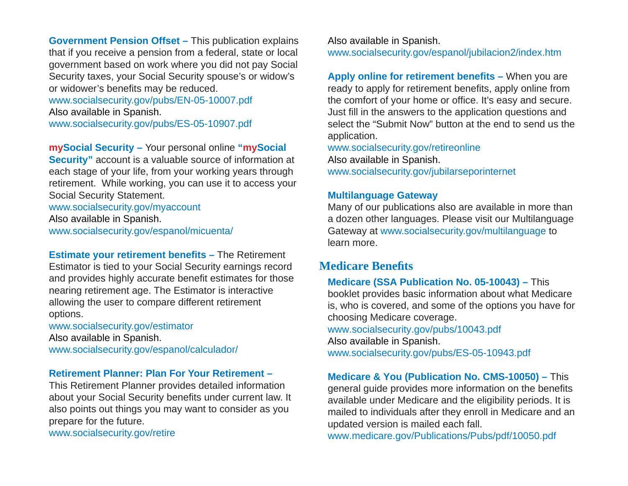**Government Pension Offset –** This publication explains that if you receive a pension from a federal, state or local government based on work where you did not pay Social Security taxes, your Social Security spouse's or widow's or widower's benefits may be reduced. www.socialsecurity.gov/pubs/EN-05-10007.pdf

Also available in Spanish.

www.socialsecurity.gov/pubs/ES-05-10907.pdf

**mySocial Security –** Your personal online **"mySocial Security"** account is a valuable source of information at each stage of your life, from your working years through retirement. While working, you can use it to access your Social Security Statement.

www.socialsecurity.gov/myaccount

Also available in Spanish. www.socialsecurity.gov/espanol/micuenta/

**Estimate your retirement benefits – The Retirement** Estimator is tied to your Social Security earnings record and provides highly accurate benefit estimates for those nearing retirement age. The Estimator is interactive allowing the user to compare different retirement options.

www.socialsecurity.gov/estimator Also available in Spanish. www.socialsecurity.gov/espanol/calculador/

#### **Retirement Planner: Plan For Your Retirement –**

This Retirement Planner provides detailed information about your Social Security benefits under current law. It also points out things you may want to consider as you prepare for the future.

www.socialsecurity.gov/retire

Also available in Spanish. www.socialsecurity.gov/espanol/jubilacion2/index.htm

**Apply online for retirement benefits –** When you are ready to apply for retirement benefits, apply online from the comfort of your home or office. It's easy and secure. Just fill in the answers to the application questions and select the "Submit Now" button at the end to send us the application.

www.socialsecurity.gov/retireonline Also available in Spanish. www.socialsecurity.gov/jubilarseporinternet

#### **Multilanguage Gateway**

Many of our publications also are available in more than a dozen other languages. Please visit our Multilanguage Gateway at www.socialsecurity.gov/multilanguage to learn more.

# **Medicare Benefi ts**

**Medicare (SSA Publication No. 05-10043) –** This booklet provides basic information about what Medicare is, who is covered, and some of the options you have for choosing Medicare coverage. www.socialsecurity.gov/pubs/10043.pdf Also available in Spanish. www.socialsecurity.gov/pubs/ES-05-10943.pdf

**Medicare & You (Publication No. CMS-10050) –** This general guide provides more information on the benefits available under Medicare and the eligibility periods. It is mailed to individuals after they enroll in Medicare and an updated version is mailed each fall.

www.medicare.gov/Publications/Pubs/pdf/10050.pdf